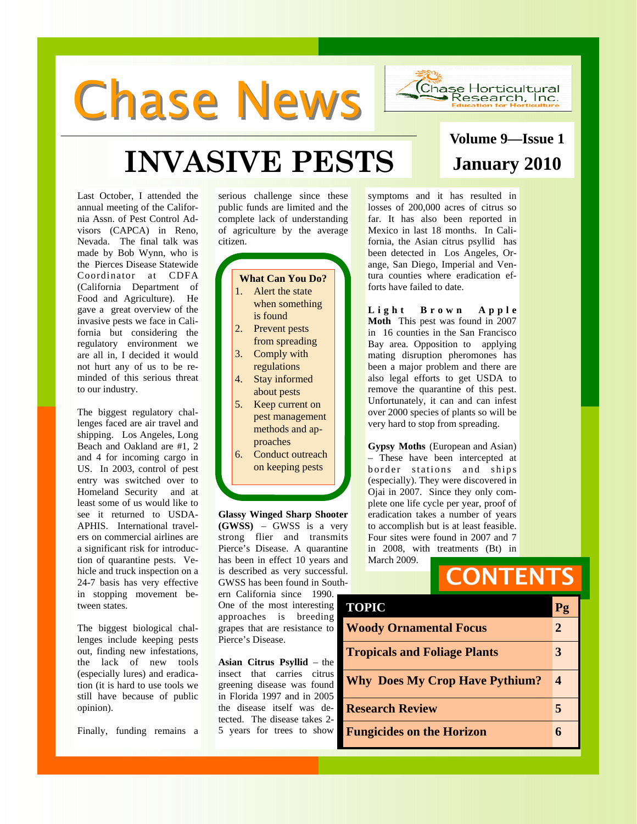# **Chase News**



## **INVASIVE PESTS January 2010**

Last October, I attended the annual meeting of the California Assn. of Pest Control Advisors (CAPCA) in Reno, Nevada. The final talk was made by Bob Wynn, who is the Pierces Disease Statewide Coordinator at CDFA (California Department of Food and Agriculture). He gave a great overview of the invasive pests we face in California but considering the regulatory environment we are all in, I decided it would not hurt any of us to be reminded of this serious threat to our industry.

The biggest regulatory challenges faced are air travel and shipping. Los Angeles, Long Beach and Oakland are #1, 2 and 4 for incoming cargo in US. In 2003, control of pest entry was switched over to Homeland Security and at least some of us would like to see it returned to USDA-APHIS. International travelers on commercial airlines are a significant risk for introduction of quarantine pests. Vehicle and truck inspection on a 24-7 basis has very effective in stopping movement between states.

The biggest biological challenges include keeping pests out, finding new infestations, the lack of new tools (especially lures) and eradication (it is hard to use tools we still have because of public opinion).

Finally, funding remains a

serious challenge since these public funds are limited and the complete lack of understanding of agriculture by the average citizen.

#### **What Can You Do?**  1. Alert the state when something is found 2. Prevent pests from spreading 3. Comply with

- regulations
- 4. Stay informed about pests
- 5. Keep current on pest management methods and approaches
- 6. Conduct outreach on keeping pests

**Glassy Winged Sharp Shooter (GWSS)** – GWSS is a very strong flier and transmits Pierce's Disease. A quarantine has been in effect 10 years and is described as very successful. GWSS has been found in Southern California since 1990.

One of the most interesting approaches is breeding grapes that are resistance to Pierce's Disease.

**Asian Citrus Psyllid** – the insect that carries citrus greening disease was found in Florida 1997 and in 2005 the disease itself was detected. The disease takes 2- 5 years for trees to show

symptoms and it has resulted in losses of 200,000 acres of citrus so far. It has also been reported in Mexico in last 18 months. In California, the Asian citrus psyllid has been detected in Los Angeles, Orange, San Diego, Imperial and Ventura counties where eradication efforts have failed to date.

Light Brown Apple **Moth** This pest was found in 2007 in 16 counties in the San Francisco Bay area. Opposition to applying mating disruption pheromones has been a major problem and there are also legal efforts to get USDA to remove the quarantine of this pest. Unfortunately, it can and can infest over 2000 species of plants so will be very hard to stop from spreading.

**Gypsy Moths** (European and Asian) – These have been intercepted at border stations and ships (especially). They were discovered in Ojai in 2007. Since they only complete one life cycle per year, proof of eradication takes a number of years to accomplish but is at least feasible. Four sites were found in 2007 and 7 in 2008, with treatments (Bt) in March 2009.

## **CONTENTS**

| <b>TOPIC</b>                          | Pg               |
|---------------------------------------|------------------|
| <b>Woody Ornamental Focus</b>         | 2                |
| <b>Tropicals and Foliage Plants</b>   | 3                |
| <b>Why Does My Crop Have Pythium?</b> | $\boldsymbol{4}$ |
| <b>Research Review</b>                | 5                |
| <b>Fungicides on the Horizon</b>      | 6                |

## **Volume 9—Issue 1**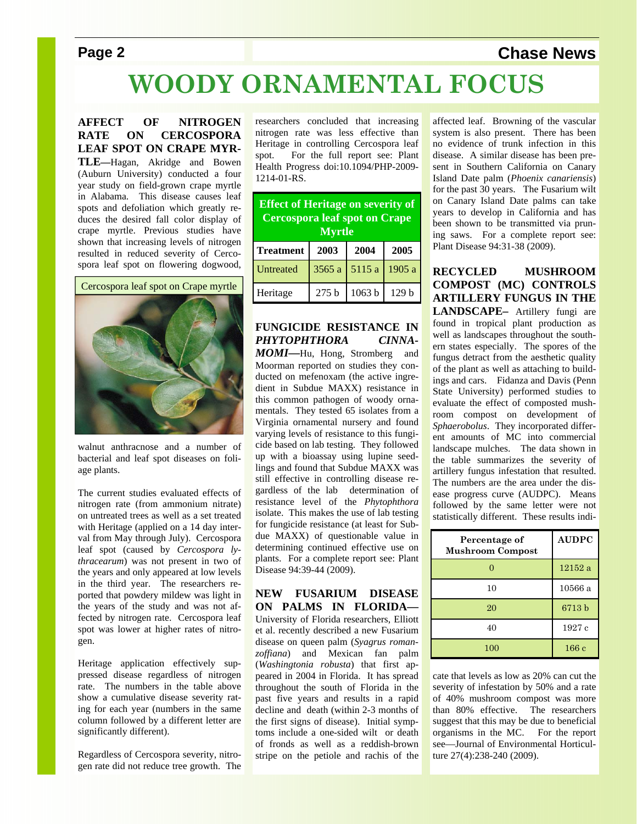#### **Page 2** Chase News

## **WOODY ORNAMENTAL FOCUS**

**AFFECT OF NITROGEN RATE ON CERCOSPORA LEAF SPOT ON CRAPE MYR-TLE—**Hagan, Akridge and Bowen

(Auburn University) conducted a four year study on field-grown crape myrtle in Alabama. This disease causes leaf spots and defoliation which greatly reduces the desired fall color display of crape myrtle. Previous studies have shown that increasing levels of nitrogen resulted in reduced severity of Cercospora leaf spot on flowering dogwood,

Cercospora leaf spot on Crape myrtle



walnut anthracnose and a number of bacterial and leaf spot diseases on foliage plants.

The current studies evaluated effects of nitrogen rate (from ammonium nitrate) on untreated trees as well as a set treated with Heritage (applied on a 14 day interval from May through July). Cercospora leaf spot (caused by *Cercospora lythracearum*) was not present in two of the years and only appeared at low levels in the third year. The researchers reported that powdery mildew was light in the years of the study and was not affected by nitrogen rate. Cercospora leaf spot was lower at higher rates of nitrogen.

Heritage application effectively suppressed disease regardless of nitrogen rate. The numbers in the table above show a cumulative disease severity rating for each year (numbers in the same column followed by a different letter are significantly different).

Regardless of Cercospora severity, nitrogen rate did not reduce tree growth. The researchers concluded that increasing nitrogen rate was less effective than Heritage in controlling Cercospora leaf spot. For the full report see: Plant Health Progress doi:10.1094/PHP-2009- 1214-01-RS.

| <b>Effect of Heritage on severity of</b><br><b>Cercospora leaf spot on Crape</b><br><b>Myrtle</b> |                  |        |        |  |
|---------------------------------------------------------------------------------------------------|------------------|--------|--------|--|
| <b>Treatment</b>                                                                                  | 2003             | 2004   | 2005   |  |
| Untreated                                                                                         | 3565 a           | 5115 a | 1905 a |  |
| Heritage                                                                                          | 275 <sub>b</sub> | 1063 b | 129h   |  |

#### **FUNGICIDE RESISTANCE IN**  *PHYTOPHTHORA CINNA-*

*MOMI***—**Hu, Hong, Stromberg and Moorman reported on studies they conducted on mefenoxam (the active ingredient in Subdue MAXX) resistance in this common pathogen of woody ornamentals. They tested 65 isolates from a Virginia ornamental nursery and found varying levels of resistance to this fungicide based on lab testing. They followed up with a bioassay using lupine seedlings and found that Subdue MAXX was still effective in controlling disease regardless of the lab determination of resistance level of the *Phytophthora*  isolate. This makes the use of lab testing for fungicide resistance (at least for Subdue MAXX) of questionable value in determining continued effective use on plants. For a complete report see: Plant Disease 94:39-44 (2009).

**NEW FUSARIUM DISEASE ON PALMS IN FLORIDA—** University of Florida researchers, Elliott et al. recently described a new Fusarium disease on queen palm (*Syagrus romanzoffiana*) and Mexican fan palm (*Washingtonia robusta*) that first appeared in 2004 in Florida. It has spread throughout the south of Florida in the past five years and results in a rapid decline and death (within 2-3 months of the first signs of disease). Initial symptoms include a one-sided wilt or death of fronds as well as a reddish-brown stripe on the petiole and rachis of the affected leaf. Browning of the vascular system is also present. There has been no evidence of trunk infection in this disease. A similar disease has been present in Southern California on Canary Island Date palm (*Phoenix canariensis*) for the past 30 years. The Fusarium wilt on Canary Island Date palms can take years to develop in California and has been shown to be transmitted via pruning saws. For a complete report see: Plant Disease 94:31-38 (2009).

**RECYCLED MUSHROOM COMPOST (MC) CONTROLS ARTILLERY FUNGUS IN THE LANDSCAPE–** Artillery fungi are found in tropical plant production as well as landscapes throughout the southern states especially. The spores of the fungus detract from the aesthetic quality of the plant as well as attaching to buildings and cars. Fidanza and Davis (Penn State University) performed studies to evaluate the effect of composted mushroom compost on development of *Sphaerobolus*. They incorporated different amounts of MC into commercial landscape mulches. The data shown in the table summarizes the severity of artillery fungus infestation that resulted. The numbers are the area under the disease progress curve (AUDPC). Means followed by the same letter were not statistically different. These results indi-

| Percentage of<br><b>Mushroom Compost</b> | <b>AUDPC</b> |
|------------------------------------------|--------------|
|                                          | 12152a       |
| 10                                       | 10566a       |
| 20                                       | 6713 b       |
| 40                                       | 1927 c       |
| 100                                      | 166c         |

cate that levels as low as 20% can cut the severity of infestation by 50% and a rate of 40% mushroom compost was more than 80% effective. The researchers suggest that this may be due to beneficial organisms in the MC. For the report see—Journal of Environmental Horticulture 27(4):238-240 (2009).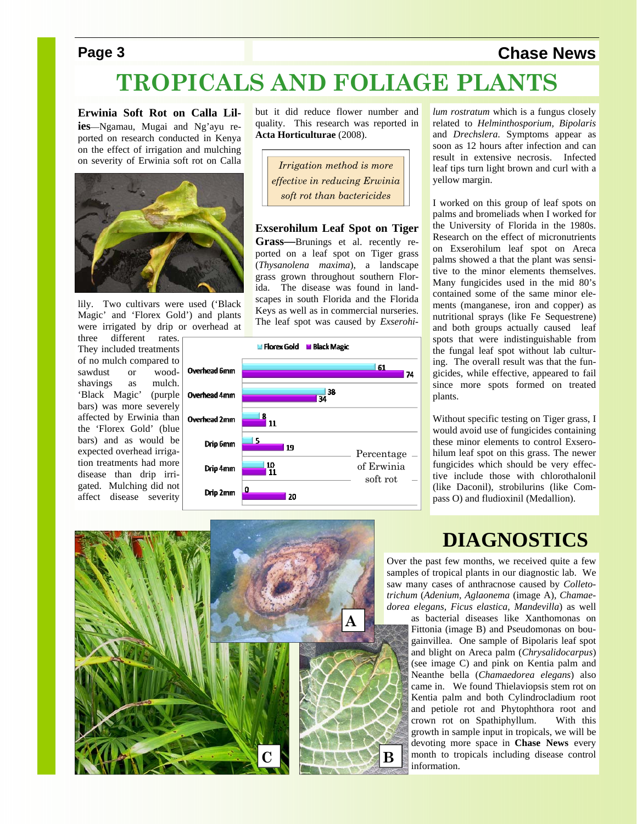#### **Page 3** Chase News

### **TROPICALS AND FOLIAGE PLANTS**

**Erwinia Soft Rot on Calla Lilies**—Ngamau, Mugai and Ng'ayu reported on research conducted in Kenya on the effect of irrigation and mulching on severity of Erwinia soft rot on Calla



lily. Two cultivars were used ('Black Magic' and 'Florex Gold') and plants were irrigated by drip or overhead at

three different rates. They included treatments of no mulch compared to sawdust or woodshavings as mulch. 'Black Magic' (purple bars) was more severely affected by Erwinia than the 'Florex Gold' (blue bars) and as would be expected overhead irrigation treatments had more disease than drip irrigated. Mulching did not affect disease severity

but it did reduce flower number and quality. This research was reported in **Acta Horticulturae** (2008).

*Irrigation method is more effective in reducing Erwinia soft rot than bactericides* 

**Exserohilum Leaf Spot on Tiger Grass—**Brunings et al. recently reported on a leaf spot on Tiger grass (*Thysanolena maxima*), a landscape grass grown throughout southern Florida. The disease was found in landscapes in south Florida and the Florida Keys as well as in commercial nurseries. The leaf spot was caused by *Exserohi-*



*lum rostratum* which is a fungus closely related to *Helminthosporium, Bipolaris*  and *Drechslera*. Symptoms appear as soon as 12 hours after infection and can result in extensive necrosis. Infected leaf tips turn light brown and curl with a yellow margin.

I worked on this group of leaf spots on palms and bromeliads when I worked for the University of Florida in the 1980s. Research on the effect of micronutrients on Exserohilum leaf spot on Areca palms showed a that the plant was sensitive to the minor elements themselves. Many fungicides used in the mid 80's contained some of the same minor elements (manganese, iron and copper) as nutritional sprays (like Fe Sequestrene) and both groups actually caused leaf spots that were indistinguishable from the fungal leaf spot without lab culturing. The overall result was that the fungicides, while effective, appeared to fail since more spots formed on treated plants.

Without specific testing on Tiger grass, I would avoid use of fungicides containing these minor elements to control Exserohilum leaf spot on this grass. The newer fungicides which should be very effective include those with chlorothalonil (like Daconil), strobilurins (like Compass O) and fludioxinil (Medallion).

# **C B B A**

#### **DIAGNOSTICS**

Over the past few months, we received quite a few samples of tropical plants in our diagnostic lab. We saw many cases of anthracnose caused by *Colletotrichum* (*Adenium, Aglaonema* (image A)*, Chamaedorea elegans, Ficus elastica, Mandevilla*) as well

as bacterial diseases like Xanthomonas on Fittonia (image B) and Pseudomonas on bougainvillea. One sample of Bipolaris leaf spot and blight on Areca palm (*Chrysalidocarpus*) (see image C) and pink on Kentia palm and Neanthe bella (*Chamaedorea elegans*) also came in. We found Thielaviopsis stem rot on Kentia palm and both Cylindrocladium root and petiole rot and Phytophthora root and crown rot on Spathiphyllum. With this growth in sample input in tropicals, we will be devoting more space in **Chase News** every month to tropicals including disease control information.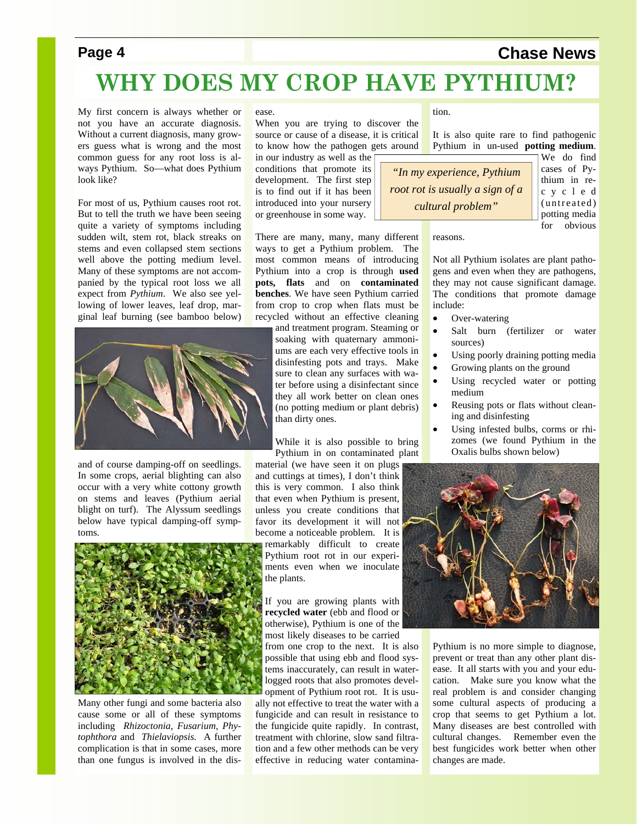#### **Page 4** Chase News

## **WHY DOES MY CROP HAVE PYTHIUM?**

My first concern is always whether or not you have an accurate diagnosis. Without a current diagnosis, many growers guess what is wrong and the most common guess for any root loss is always Pythium. So—what does Pythium look like?

For most of us, Pythium causes root rot. But to tell the truth we have been seeing quite a variety of symptoms including sudden wilt, stem rot, black streaks on stems and even collapsed stem sections well above the potting medium level. Many of these symptoms are not accompanied by the typical root loss we all expect from *Pythium*. We also see yellowing of lower leaves, leaf drop, marginal leaf burning (see bamboo below)



and of course damping-off on seedlings. In some crops, aerial blighting can also occur with a very white cottony growth on stems and leaves (Pythium aerial blight on turf). The Alyssum seedlings below have typical damping-off symptoms.



Many other fungi and some bacteria also cause some or all of these symptoms including *Rhizoctonia, Fusarium, Phytophthora* and *Thielaviopsis.* A further complication is that in some cases, more than one fungus is involved in the dis-

ease.

When you are trying to discover the source or cause of a disease, it is critical to know how the pathogen gets around in our industry as well as the

conditions that promote its development. The first step is to find out if it has been introduced into your nursery or greenhouse in some way.

There are many, many, many different reasons.

ways to get a Pythium problem. The most common means of introducing Pythium into a crop is through **used pots, flats** and on **contaminated benches**. We have seen Pythium carried from crop to crop when flats must be recycled without an effective cleaning

> and treatment program. Steaming or soaking with quaternary ammoniums are each very effective tools in disinfesting pots and trays. Make sure to clean any surfaces with water before using a disinfectant since they all work better on clean ones (no potting medium or plant debris) than dirty ones.

> While it is also possible to bring Pythium in on contaminated plant

material (we have seen it on plugs and cuttings at times), I don't think this is very common. I also think that even when Pythium is present, unless you create conditions that favor its development it will not become a noticeable problem. It is remarkably difficult to create Pythium root rot in our experiments even when we inoculate the plants.

If you are growing plants with **recycled water** (ebb and flood or otherwise), Pythium is one of the most likely diseases to be carried

from one crop to the next. It is also possible that using ebb and flood systems inaccurately, can result in waterlogged roots that also promotes development of Pythium root rot. It is usually not effective to treat the water with a fungicide and can result in resistance to the fungicide quite rapidly. In contrast, treatment with chlorine, slow sand filtration and a few other methods can be very effective in reducing water contamination.

It is also quite rare to find pathogenic Pythium in un-used **potting medium**.

*"In my experience, Pythium root rot is usually a sign of a cultural problem"* 

We do find cases of Pythium in rec y c l e d (untreated) potting media for obvious

Not all Pythium isolates are plant pathogens and even when they are pathogens, they may not cause significant damage. The conditions that promote damage include:

- Over-watering
- Salt burn (fertilizer or water sources)
- Using poorly draining potting media
- Growing plants on the ground
- Using recycled water or potting medium
- Reusing pots or flats without cleaning and disinfesting
- Using infested bulbs, corms or rhizomes (we found Pythium in the Oxalis bulbs shown below)



Pythium is no more simple to diagnose, prevent or treat than any other plant disease. It all starts with you and your education. Make sure you know what the real problem is and consider changing some cultural aspects of producing a crop that seems to get Pythium a lot. Many diseases are best controlled with cultural changes. Remember even the best fungicides work better when other changes are made.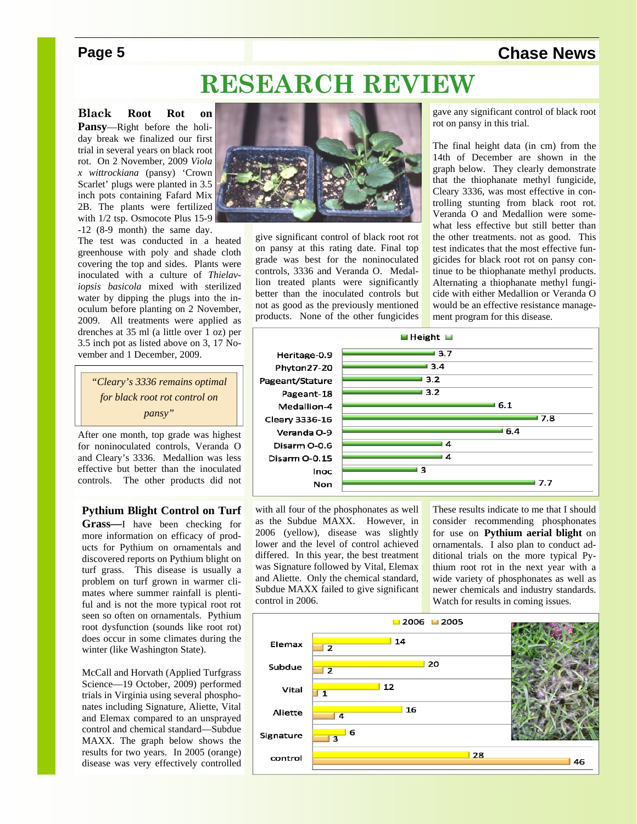#### **Page 5** Chase News

### **RESEARCH REVIEW**

**Black Root Rot on** 

**Pansy**—Right before the holiday break we finalized our first trial in several years on black root rot. On 2 November, 2009 *Viola x wittrockiana* (pansy) 'Crown Scarlet' plugs were planted in 3.5 inch pots containing Fafard Mix 2B. The plants were fertilized with 1/2 tsp. Osmocote Plus 15-9 -12 (8-9 month) the same day.

The test was conducted in a heated greenhouse with poly and shade cloth covering the top and sides. Plants were inoculated with a culture of *Thielaviopsis basicola* mixed with sterilized water by dipping the plugs into the inoculum before planting on 2 November, 2009. All treatments were applied as drenches at 35 ml (a little over 1 oz) per 3.5 inch pot as listed above on 3, 17 November and 1 December, 2009.

> *"Cleary's 3336 remains optimal for black root rot control on pansy"*

After one month, top grade was highest for noninoculated controls, Veranda O and Cleary's 3336. Medallion was less effective but better than the inoculated controls. The other products did not

**Pythium Blight Control on Turf** 

**Grass—**I have been checking for more information on efficacy of products for Pythium on ornamentals and discovered reports on Pythium blight on turf grass. This disease is usually a problem on turf grown in warmer climates where summer rainfall is plentiful and is not the more typical root rot seen so often on ornamentals. Pythium root dysfunction (sounds like root rot) does occur in some climates during the winter (like Washington State).

McCall and Horvath (Applied Turfgrass Science—19 October, 2009) performed trials in Virginia using several phosphonates including Signature, Aliette, Vital and Elemax compared to an unsprayed control and chemical standard—Subdue MAXX. The graph below shows the results for two years. In 2005 (orange) disease was very effectively controlled



give significant control of black root rot on pansy at this rating date. Final top grade was best for the noninoculated controls, 3336 and Veranda O. Medallion treated plants were significantly better than the inoculated controls but not as good as the previously mentioned products. None of the other fungicides gave any significant control of black root rot on pansy in this trial.

The final height data (in cm) from the 14th of December are shown in the graph below. They clearly demonstrate that the thiophanate methyl fungicide, Cleary 3336, was most effective in controlling stunting from black root rot. Veranda O and Medallion were somewhat less effective but still better than the other treatments. not as good. This test indicates that the most effective fungicides for black root rot on pansy continue to be thiophanate methyl products. Alternating a thiophanate methyl fungicide with either Medallion or Veranda O would be an effective resistance management program for this disease.



with all four of the phosphonates as well as the Subdue MAXX. However, in 2006 (yellow), disease was slightly lower and the level of control achieved differed. In this year, the best treatment was Signature followed by Vital, Elemax and Aliette. Only the chemical standard, Subdue MAXX failed to give significant control in 2006.

These results indicate to me that I should consider recommending phosphonates for use on **Pythium aerial blight** on ornamentals. I also plan to conduct additional trials on the more typical Pythium root rot in the next year with a wide variety of phosphonates as well as newer chemicals and industry standards. Watch for results in coming issues.